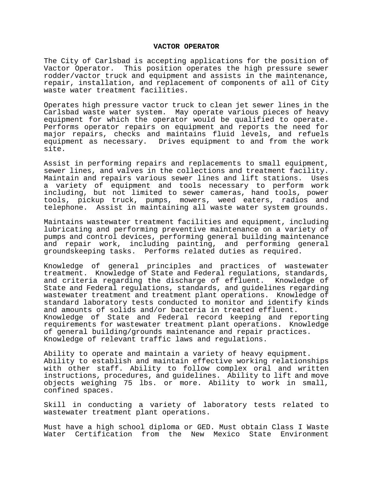## **VACTOR OPERATOR**

The City of Carlsbad is accepting applications for the position of Vactor Operator. This position operates the high pressure sewer rodder/vactor truck and equipment and assists in the maintenance, repair, installation, and replacement of components of all of City waste water treatment facilities.

Operates high pressure vactor truck to clean jet sewer lines in the Carlsbad waste water system. May operate various pieces of heavy equipment for which the operator would be qualified to operate. Performs operator repairs on equipment and reports the need for major repairs, checks and maintains fluid levels, and refuels equipment as necessary. Drives equipment to and from the work site.

Assist in performing repairs and replacements to small equipment, sewer lines, and valves in the collections and treatment facility. Maintain and repairs various sewer lines and lift stations. Uses a variety of equipment and tools necessary to perform work including, but not limited to sewer cameras, hand tools, power tools, pickup truck, pumps, mowers, weed eaters, radios and telephone. Assist in maintaining all waste water system grounds.

Maintains wastewater treatment facilities and equipment, including lubricating and performing preventive maintenance on a variety of pumps and control devices, performing general building maintenance and repair work, including painting, and performing general groundskeeping tasks. Performs related duties as required.

Knowledge of general principles and practices of wastewater treatment. Knowledge of State and Federal regulations, standards, and criteria regarding the discharge of effluent. Knowledge of State and Federal regulations, standards, and guidelines regarding wastewater treatment and treatment plant operations. Knowledge of standard laboratory tests conducted to monitor and identify kinds and amounts of solids and/or bacteria in treated effluent. Knowledge of State and Federal record keeping and reporting requirements for wastewater treatment plant operations. Knowledge of general building/grounds maintenance and repair practices. Knowledge of relevant traffic laws and regulations.

Ability to operate and maintain a variety of heavy equipment. Ability to establish and maintain effective working relationships with other staff. Ability to follow complex oral and written instructions, procedures, and guidelines. Ability to lift and move objects weighing 75 lbs. or more. Ability to work in small, confined spaces.

Skill in conducting a variety of laboratory tests related to wastewater treatment plant operations.

Must have a high school diploma or GED. Must obtain Class I Waste Water Certification from the New Mexico State Environment